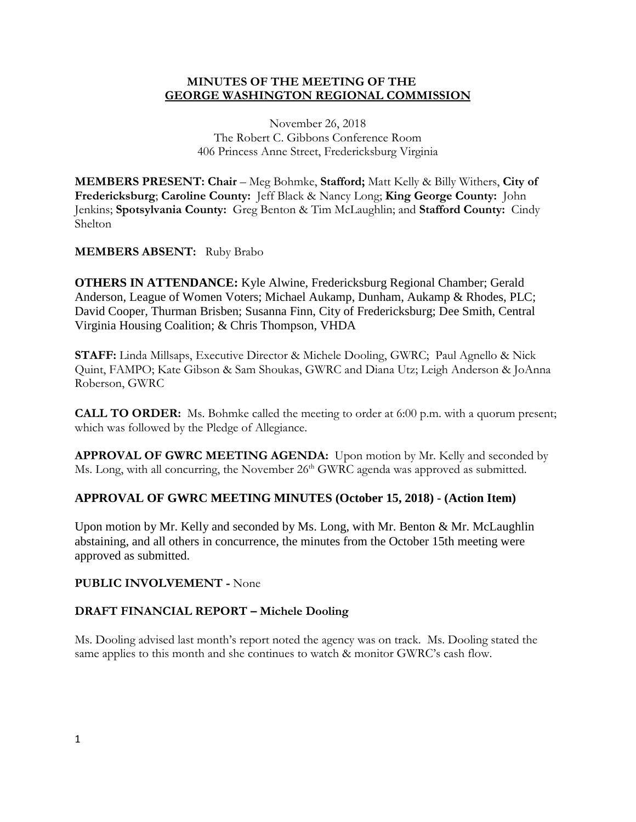### **MINUTES OF THE MEETING OF THE GEORGE WASHINGTON REGIONAL COMMISSION**

November 26, 2018 The Robert C. Gibbons Conference Room 406 Princess Anne Street, Fredericksburg Virginia

**MEMBERS PRESENT: Chair** – Meg Bohmke, **Stafford;** Matt Kelly & Billy Withers, **City of Fredericksburg**; **Caroline County:** Jeff Black & Nancy Long; **King George County:** John Jenkins; **Spotsylvania County:** Greg Benton & Tim McLaughlin; and **Stafford County:** Cindy Shelton

## **MEMBERS ABSENT:** Ruby Brabo

**OTHERS IN ATTENDANCE:** Kyle Alwine, Fredericksburg Regional Chamber; Gerald Anderson, League of Women Voters; Michael Aukamp, Dunham, Aukamp & Rhodes, PLC; David Cooper, Thurman Brisben; Susanna Finn, City of Fredericksburg; Dee Smith, Central Virginia Housing Coalition; & Chris Thompson, VHDA

**STAFF:** Linda Millsaps, Executive Director & Michele Dooling, GWRC; Paul Agnello & Nick Quint, FAMPO; Kate Gibson & Sam Shoukas, GWRC and Diana Utz; Leigh Anderson & JoAnna Roberson, GWRC

**CALL TO ORDER:** Ms. Bohmke called the meeting to order at 6:00 p.m. with a quorum present; which was followed by the Pledge of Allegiance.

**APPROVAL OF GWRC MEETING AGENDA:** Upon motion by Mr. Kelly and seconded by Ms. Long, with all concurring, the November 26<sup>th</sup> GWRC agenda was approved as submitted.

# **APPROVAL OF GWRC MEETING MINUTES (October 15, 2018) - (Action Item)**

Upon motion by Mr. Kelly and seconded by Ms. Long, with Mr. Benton & Mr. McLaughlin abstaining, and all others in concurrence, the minutes from the October 15th meeting were approved as submitted.

### **PUBLIC INVOLVEMENT -** None

### **DRAFT FINANCIAL REPORT – Michele Dooling**

Ms. Dooling advised last month's report noted the agency was on track. Ms. Dooling stated the same applies to this month and she continues to watch & monitor GWRC's cash flow.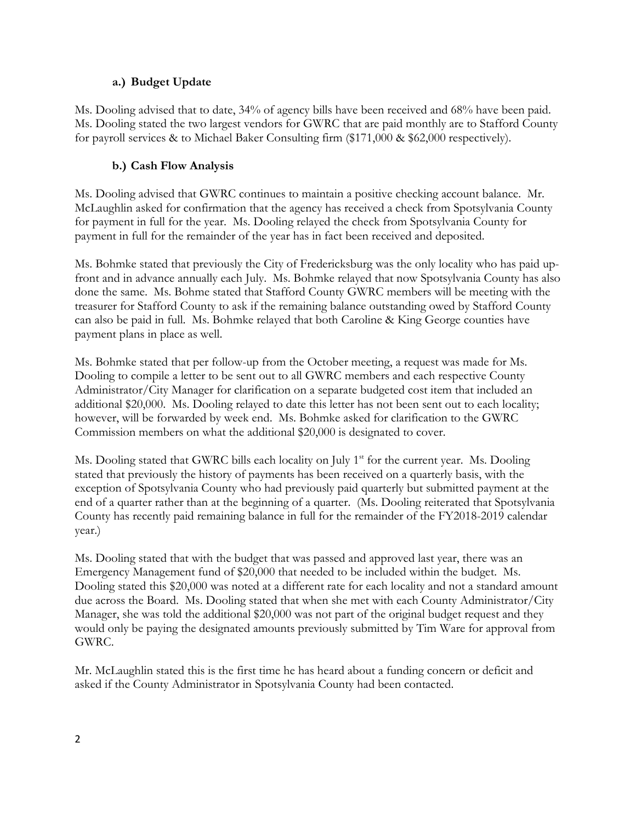## **a.) Budget Update**

Ms. Dooling advised that to date, 34% of agency bills have been received and 68% have been paid. Ms. Dooling stated the two largest vendors for GWRC that are paid monthly are to Stafford County for payroll services & to Michael Baker Consulting firm (\$171,000 & \$62,000 respectively).

# **b.) Cash Flow Analysis**

Ms. Dooling advised that GWRC continues to maintain a positive checking account balance. Mr. McLaughlin asked for confirmation that the agency has received a check from Spotsylvania County for payment in full for the year. Ms. Dooling relayed the check from Spotsylvania County for payment in full for the remainder of the year has in fact been received and deposited.

Ms. Bohmke stated that previously the City of Fredericksburg was the only locality who has paid upfront and in advance annually each July. Ms. Bohmke relayed that now Spotsylvania County has also done the same. Ms. Bohme stated that Stafford County GWRC members will be meeting with the treasurer for Stafford County to ask if the remaining balance outstanding owed by Stafford County can also be paid in full. Ms. Bohmke relayed that both Caroline & King George counties have payment plans in place as well.

Ms. Bohmke stated that per follow-up from the October meeting, a request was made for Ms. Dooling to compile a letter to be sent out to all GWRC members and each respective County Administrator/City Manager for clarification on a separate budgeted cost item that included an additional \$20,000. Ms. Dooling relayed to date this letter has not been sent out to each locality; however, will be forwarded by week end. Ms. Bohmke asked for clarification to the GWRC Commission members on what the additional \$20,000 is designated to cover.

Ms. Dooling stated that GWRC bills each locality on July  $1<sup>st</sup>$  for the current year. Ms. Dooling stated that previously the history of payments has been received on a quarterly basis, with the exception of Spotsylvania County who had previously paid quarterly but submitted payment at the end of a quarter rather than at the beginning of a quarter. (Ms. Dooling reiterated that Spotsylvania County has recently paid remaining balance in full for the remainder of the FY2018-2019 calendar year.)

Ms. Dooling stated that with the budget that was passed and approved last year, there was an Emergency Management fund of \$20,000 that needed to be included within the budget. Ms. Dooling stated this \$20,000 was noted at a different rate for each locality and not a standard amount due across the Board. Ms. Dooling stated that when she met with each County Administrator/City Manager, she was told the additional \$20,000 was not part of the original budget request and they would only be paying the designated amounts previously submitted by Tim Ware for approval from GWRC.

Mr. McLaughlin stated this is the first time he has heard about a funding concern or deficit and asked if the County Administrator in Spotsylvania County had been contacted.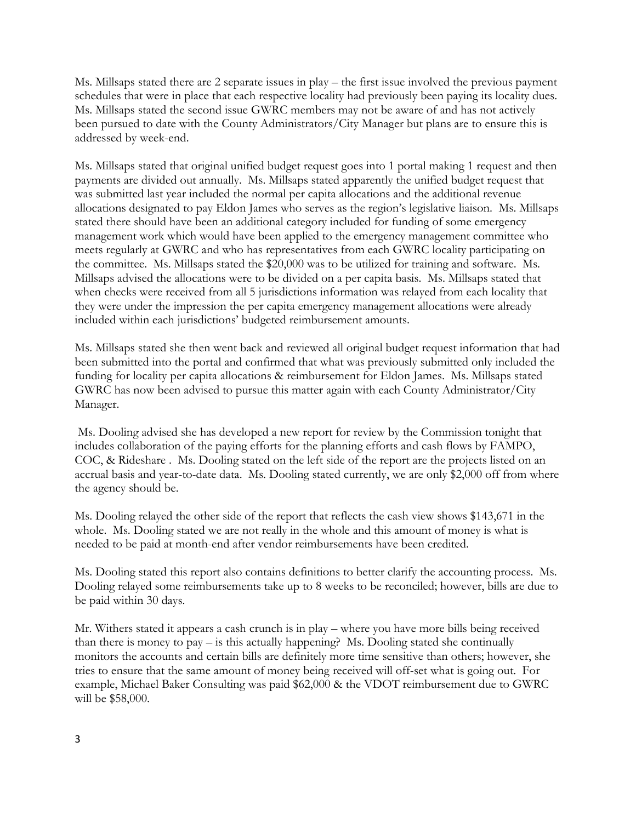Ms. Millsaps stated there are 2 separate issues in play – the first issue involved the previous payment schedules that were in place that each respective locality had previously been paying its locality dues. Ms. Millsaps stated the second issue GWRC members may not be aware of and has not actively been pursued to date with the County Administrators/City Manager but plans are to ensure this is addressed by week-end.

Ms. Millsaps stated that original unified budget request goes into 1 portal making 1 request and then payments are divided out annually. Ms. Millsaps stated apparently the unified budget request that was submitted last year included the normal per capita allocations and the additional revenue allocations designated to pay Eldon James who serves as the region's legislative liaison. Ms. Millsaps stated there should have been an additional category included for funding of some emergency management work which would have been applied to the emergency management committee who meets regularly at GWRC and who has representatives from each GWRC locality participating on the committee. Ms. Millsaps stated the \$20,000 was to be utilized for training and software. Ms. Millsaps advised the allocations were to be divided on a per capita basis. Ms. Millsaps stated that when checks were received from all 5 jurisdictions information was relayed from each locality that they were under the impression the per capita emergency management allocations were already included within each jurisdictions' budgeted reimbursement amounts.

Ms. Millsaps stated she then went back and reviewed all original budget request information that had been submitted into the portal and confirmed that what was previously submitted only included the funding for locality per capita allocations & reimbursement for Eldon James. Ms. Millsaps stated GWRC has now been advised to pursue this matter again with each County Administrator/City Manager.

Ms. Dooling advised she has developed a new report for review by the Commission tonight that includes collaboration of the paying efforts for the planning efforts and cash flows by FAMPO, COC, & Rideshare . Ms. Dooling stated on the left side of the report are the projects listed on an accrual basis and year-to-date data. Ms. Dooling stated currently, we are only \$2,000 off from where the agency should be.

Ms. Dooling relayed the other side of the report that reflects the cash view shows \$143,671 in the whole. Ms. Dooling stated we are not really in the whole and this amount of money is what is needed to be paid at month-end after vendor reimbursements have been credited.

Ms. Dooling stated this report also contains definitions to better clarify the accounting process. Ms. Dooling relayed some reimbursements take up to 8 weeks to be reconciled; however, bills are due to be paid within 30 days.

Mr. Withers stated it appears a cash crunch is in play – where you have more bills being received than there is money to pay – is this actually happening? Ms. Dooling stated she continually monitors the accounts and certain bills are definitely more time sensitive than others; however, she tries to ensure that the same amount of money being received will off-set what is going out. For example, Michael Baker Consulting was paid \$62,000 & the VDOT reimbursement due to GWRC will be \$58,000.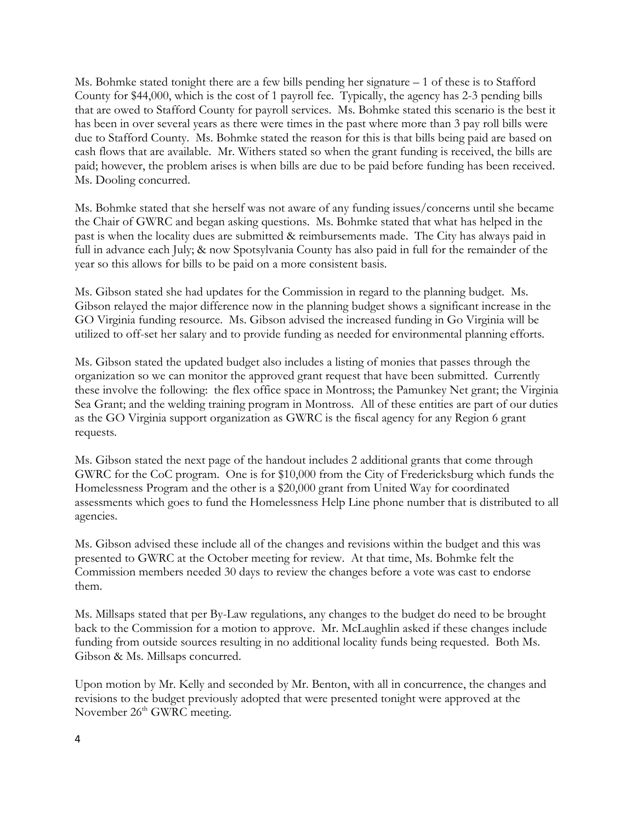Ms. Bohmke stated tonight there are a few bills pending her signature – 1 of these is to Stafford County for \$44,000, which is the cost of 1 payroll fee. Typically, the agency has 2-3 pending bills that are owed to Stafford County for payroll services. Ms. Bohmke stated this scenario is the best it has been in over several years as there were times in the past where more than 3 pay roll bills were due to Stafford County. Ms. Bohmke stated the reason for this is that bills being paid are based on cash flows that are available. Mr. Withers stated so when the grant funding is received, the bills are paid; however, the problem arises is when bills are due to be paid before funding has been received. Ms. Dooling concurred.

Ms. Bohmke stated that she herself was not aware of any funding issues/concerns until she became the Chair of GWRC and began asking questions. Ms. Bohmke stated that what has helped in the past is when the locality dues are submitted & reimbursements made. The City has always paid in full in advance each July; & now Spotsylvania County has also paid in full for the remainder of the year so this allows for bills to be paid on a more consistent basis.

Ms. Gibson stated she had updates for the Commission in regard to the planning budget. Ms. Gibson relayed the major difference now in the planning budget shows a significant increase in the GO Virginia funding resource. Ms. Gibson advised the increased funding in Go Virginia will be utilized to off-set her salary and to provide funding as needed for environmental planning efforts.

Ms. Gibson stated the updated budget also includes a listing of monies that passes through the organization so we can monitor the approved grant request that have been submitted. Currently these involve the following: the flex office space in Montross; the Pamunkey Net grant; the Virginia Sea Grant; and the welding training program in Montross. All of these entities are part of our duties as the GO Virginia support organization as GWRC is the fiscal agency for any Region 6 grant requests.

Ms. Gibson stated the next page of the handout includes 2 additional grants that come through GWRC for the CoC program. One is for \$10,000 from the City of Fredericksburg which funds the Homelessness Program and the other is a \$20,000 grant from United Way for coordinated assessments which goes to fund the Homelessness Help Line phone number that is distributed to all agencies.

Ms. Gibson advised these include all of the changes and revisions within the budget and this was presented to GWRC at the October meeting for review. At that time, Ms. Bohmke felt the Commission members needed 30 days to review the changes before a vote was cast to endorse them.

Ms. Millsaps stated that per By-Law regulations, any changes to the budget do need to be brought back to the Commission for a motion to approve. Mr. McLaughlin asked if these changes include funding from outside sources resulting in no additional locality funds being requested. Both Ms. Gibson & Ms. Millsaps concurred.

Upon motion by Mr. Kelly and seconded by Mr. Benton, with all in concurrence, the changes and revisions to the budget previously adopted that were presented tonight were approved at the November 26<sup>th</sup> GWRC meeting.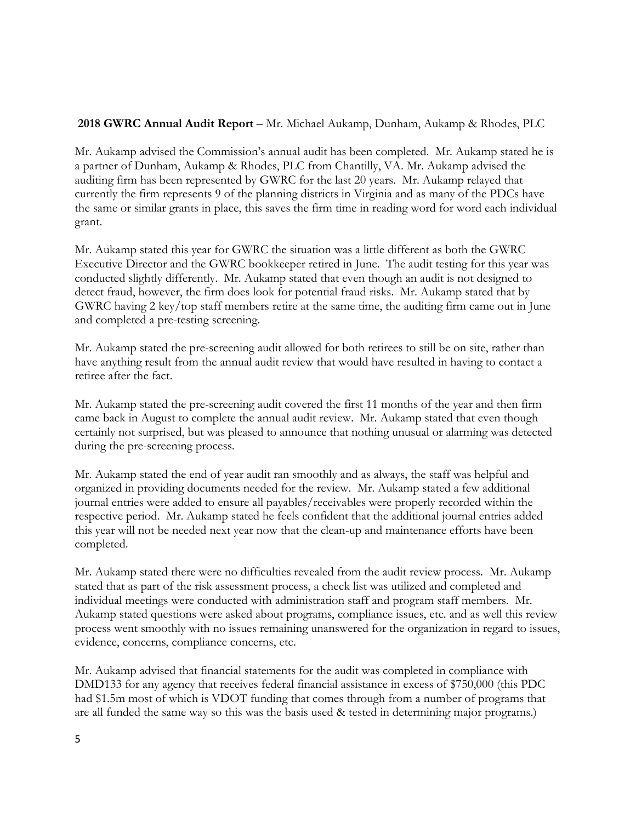### **2018 GWRC Annual Audit Report** – Mr. Michael Aukamp, Dunham, Aukamp & Rhodes, PLC

Mr. Aukamp advised the Commission's annual audit has been completed. Mr. Aukamp stated he is a partner of Dunham, Aukamp & Rhodes, PLC from Chantilly, VA. Mr. Aukamp advised the auditing firm has been represented by GWRC for the last 20 years. Mr. Aukamp relayed that currently the firm represents 9 of the planning districts in Virginia and as many of the PDCs have the same or similar grants in place, this saves the firm time in reading word for word each individual grant.

Mr. Aukamp stated this year for GWRC the situation was a little different as both the GWRC Executive Director and the GWRC bookkeeper retired in June. The audit testing for this year was conducted slightly differently. Mr. Aukamp stated that even though an audit is not designed to detect fraud, however, the firm does look for potential fraud risks. Mr. Aukamp stated that by GWRC having 2 key/top staff members retire at the same time, the auditing firm came out in June and completed a pre-testing screening.

Mr. Aukamp stated the pre-screening audit allowed for both retirees to still be on site, rather than have anything result from the annual audit review that would have resulted in having to contact a retiree after the fact.

Mr. Aukamp stated the pre-screening audit covered the first 11 months of the year and then firm came back in August to complete the annual audit review. Mr. Aukamp stated that even though certainly not surprised, but was pleased to announce that nothing unusual or alarming was detected during the pre-screening process.

Mr. Aukamp stated the end of year audit ran smoothly and as always, the staff was helpful and organized in providing documents needed for the review. Mr. Aukamp stated a few additional journal entries were added to ensure all payables/receivables were properly recorded within the respective period. Mr. Aukamp stated he feels confident that the additional journal entries added this year will not be needed next year now that the clean-up and maintenance efforts have been completed.

Mr. Aukamp stated there were no difficulties revealed from the audit review process. Mr. Aukamp stated that as part of the risk assessment process, a check list was utilized and completed and individual meetings were conducted with administration staff and program staff members. Mr. Aukamp stated questions were asked about programs, compliance issues, etc. and as well this review process went smoothly with no issues remaining unanswered for the organization in regard to issues, evidence, concerns, compliance concerns, etc.

Mr. Aukamp advised that financial statements for the audit was completed in compliance with DMD133 for any agency that receives federal financial assistance in excess of \$750,000 (this PDC had \$1.5m most of which is VDOT funding that comes through from a number of programs that are all funded the same way so this was the basis used & tested in determining major programs.)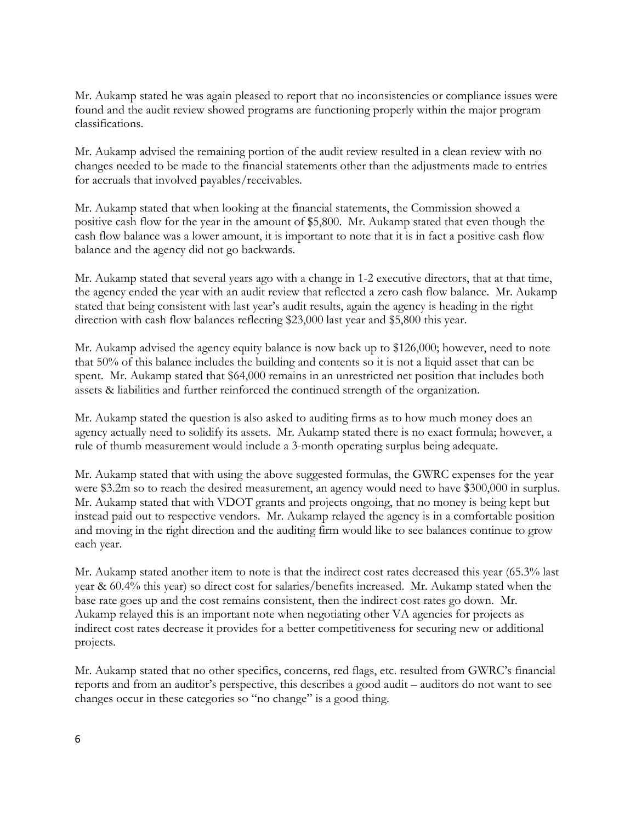Mr. Aukamp stated he was again pleased to report that no inconsistencies or compliance issues were found and the audit review showed programs are functioning properly within the major program classifications.

Mr. Aukamp advised the remaining portion of the audit review resulted in a clean review with no changes needed to be made to the financial statements other than the adjustments made to entries for accruals that involved payables/receivables.

Mr. Aukamp stated that when looking at the financial statements, the Commission showed a positive cash flow for the year in the amount of \$5,800. Mr. Aukamp stated that even though the cash flow balance was a lower amount, it is important to note that it is in fact a positive cash flow balance and the agency did not go backwards.

Mr. Aukamp stated that several years ago with a change in 1-2 executive directors, that at that time, the agency ended the year with an audit review that reflected a zero cash flow balance. Mr. Aukamp stated that being consistent with last year's audit results, again the agency is heading in the right direction with cash flow balances reflecting \$23,000 last year and \$5,800 this year.

Mr. Aukamp advised the agency equity balance is now back up to \$126,000; however, need to note that 50% of this balance includes the building and contents so it is not a liquid asset that can be spent. Mr. Aukamp stated that \$64,000 remains in an unrestricted net position that includes both assets & liabilities and further reinforced the continued strength of the organization.

Mr. Aukamp stated the question is also asked to auditing firms as to how much money does an agency actually need to solidify its assets. Mr. Aukamp stated there is no exact formula; however, a rule of thumb measurement would include a 3-month operating surplus being adequate.

Mr. Aukamp stated that with using the above suggested formulas, the GWRC expenses for the year were \$3.2m so to reach the desired measurement, an agency would need to have \$300,000 in surplus. Mr. Aukamp stated that with VDOT grants and projects ongoing, that no money is being kept but instead paid out to respective vendors. Mr. Aukamp relayed the agency is in a comfortable position and moving in the right direction and the auditing firm would like to see balances continue to grow each year.

Mr. Aukamp stated another item to note is that the indirect cost rates decreased this year (65.3% last year & 60.4% this year) so direct cost for salaries/benefits increased. Mr. Aukamp stated when the base rate goes up and the cost remains consistent, then the indirect cost rates go down. Mr. Aukamp relayed this is an important note when negotiating other VA agencies for projects as indirect cost rates decrease it provides for a better competitiveness for securing new or additional projects.

Mr. Aukamp stated that no other specifics, concerns, red flags, etc. resulted from GWRC's financial reports and from an auditor's perspective, this describes a good audit – auditors do not want to see changes occur in these categories so "no change" is a good thing.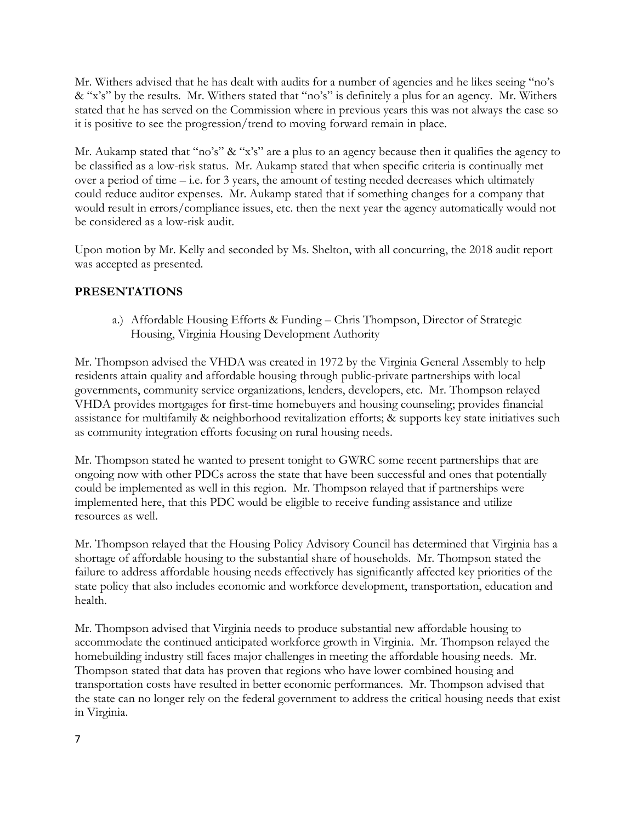Mr. Withers advised that he has dealt with audits for a number of agencies and he likes seeing "no's & "x's" by the results. Mr. Withers stated that "no's" is definitely a plus for an agency. Mr. Withers stated that he has served on the Commission where in previous years this was not always the case so it is positive to see the progression/trend to moving forward remain in place.

Mr. Aukamp stated that "no's" & "x's" are a plus to an agency because then it qualifies the agency to be classified as a low-risk status. Mr. Aukamp stated that when specific criteria is continually met over a period of time – i.e. for 3 years, the amount of testing needed decreases which ultimately could reduce auditor expenses. Mr. Aukamp stated that if something changes for a company that would result in errors/compliance issues, etc. then the next year the agency automatically would not be considered as a low-risk audit.

Upon motion by Mr. Kelly and seconded by Ms. Shelton, with all concurring, the 2018 audit report was accepted as presented.

## **PRESENTATIONS**

a.) Affordable Housing Efforts & Funding – Chris Thompson, Director of Strategic Housing, Virginia Housing Development Authority

Mr. Thompson advised the VHDA was created in 1972 by the Virginia General Assembly to help residents attain quality and affordable housing through public-private partnerships with local governments, community service organizations, lenders, developers, etc. Mr. Thompson relayed VHDA provides mortgages for first-time homebuyers and housing counseling; provides financial assistance for multifamily & neighborhood revitalization efforts; & supports key state initiatives such as community integration efforts focusing on rural housing needs.

Mr. Thompson stated he wanted to present tonight to GWRC some recent partnerships that are ongoing now with other PDCs across the state that have been successful and ones that potentially could be implemented as well in this region. Mr. Thompson relayed that if partnerships were implemented here, that this PDC would be eligible to receive funding assistance and utilize resources as well.

Mr. Thompson relayed that the Housing Policy Advisory Council has determined that Virginia has a shortage of affordable housing to the substantial share of households. Mr. Thompson stated the failure to address affordable housing needs effectively has significantly affected key priorities of the state policy that also includes economic and workforce development, transportation, education and health.

Mr. Thompson advised that Virginia needs to produce substantial new affordable housing to accommodate the continued anticipated workforce growth in Virginia. Mr. Thompson relayed the homebuilding industry still faces major challenges in meeting the affordable housing needs. Mr. Thompson stated that data has proven that regions who have lower combined housing and transportation costs have resulted in better economic performances. Mr. Thompson advised that the state can no longer rely on the federal government to address the critical housing needs that exist in Virginia.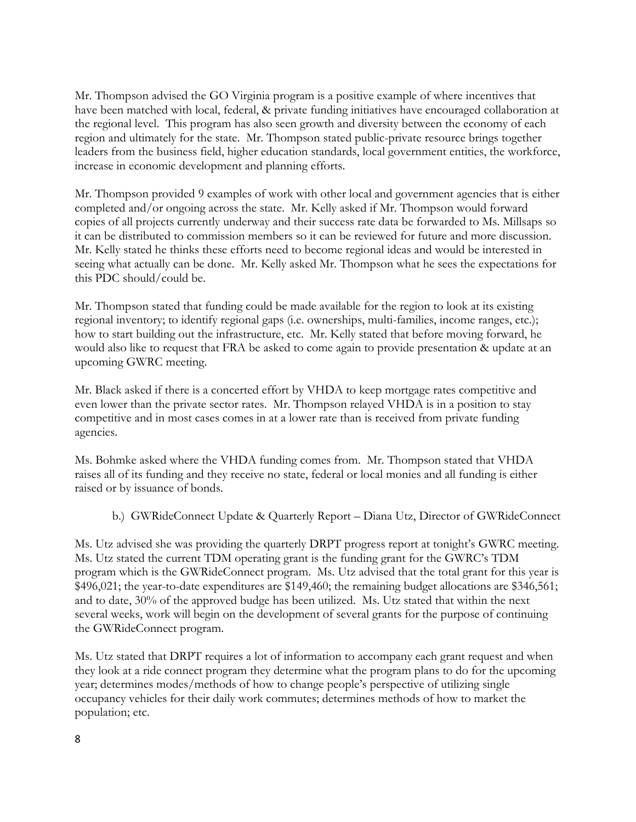Mr. Thompson advised the GO Virginia program is a positive example of where incentives that have been matched with local, federal, & private funding initiatives have encouraged collaboration at the regional level. This program has also seen growth and diversity between the economy of each region and ultimately for the state. Mr. Thompson stated public-private resource brings together leaders from the business field, higher education standards, local government entities, the workforce, increase in economic development and planning efforts.

Mr. Thompson provided 9 examples of work with other local and government agencies that is either completed and/or ongoing across the state. Mr. Kelly asked if Mr. Thompson would forward copies of all projects currently underway and their success rate data be forwarded to Ms. Millsaps so it can be distributed to commission members so it can be reviewed for future and more discussion. Mr. Kelly stated he thinks these efforts need to become regional ideas and would be interested in seeing what actually can be done. Mr. Kelly asked Mr. Thompson what he sees the expectations for this PDC should/could be.

Mr. Thompson stated that funding could be made available for the region to look at its existing regional inventory; to identify regional gaps (i.e. ownerships, multi-families, income ranges, etc.); how to start building out the infrastructure, etc. Mr. Kelly stated that before moving forward, he would also like to request that FRA be asked to come again to provide presentation & update at an upcoming GWRC meeting.

Mr. Black asked if there is a concerted effort by VHDA to keep mortgage rates competitive and even lower than the private sector rates. Mr. Thompson relayed VHDA is in a position to stay competitive and in most cases comes in at a lower rate than is received from private funding agencies.

Ms. Bohmke asked where the VHDA funding comes from. Mr. Thompson stated that VHDA raises all of its funding and they receive no state, federal or local monies and all funding is either raised or by issuance of bonds.

b.) GWRideConnect Update & Quarterly Report – Diana Utz, Director of GWRideConnect

Ms. Utz advised she was providing the quarterly DRPT progress report at tonight's GWRC meeting. Ms. Utz stated the current TDM operating grant is the funding grant for the GWRC's TDM program which is the GWRideConnect program. Ms. Utz advised that the total grant for this year is \$496,021; the year-to-date expenditures are \$149,460; the remaining budget allocations are \$346,561; and to date, 30% of the approved budge has been utilized. Ms. Utz stated that within the next several weeks, work will begin on the development of several grants for the purpose of continuing the GWRideConnect program.

Ms. Utz stated that DRPT requires a lot of information to accompany each grant request and when they look at a ride connect program they determine what the program plans to do for the upcoming year; determines modes/methods of how to change people's perspective of utilizing single occupancy vehicles for their daily work commutes; determines methods of how to market the population; etc.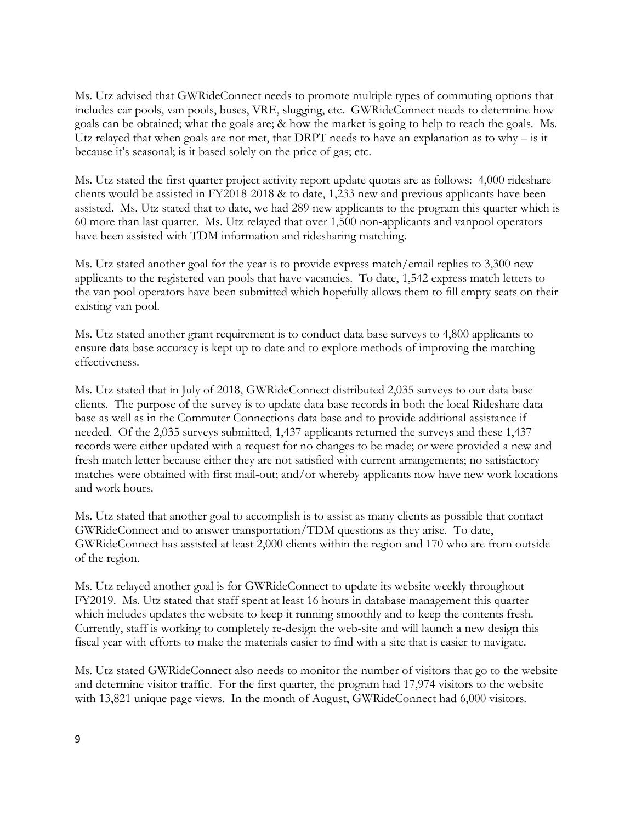Ms. Utz advised that GWRideConnect needs to promote multiple types of commuting options that includes car pools, van pools, buses, VRE, slugging, etc. GWRideConnect needs to determine how goals can be obtained; what the goals are; & how the market is going to help to reach the goals. Ms. Utz relayed that when goals are not met, that DRPT needs to have an explanation as to why – is it because it's seasonal; is it based solely on the price of gas; etc.

Ms. Utz stated the first quarter project activity report update quotas are as follows: 4,000 rideshare clients would be assisted in FY2018-2018 & to date, 1,233 new and previous applicants have been assisted. Ms. Utz stated that to date, we had 289 new applicants to the program this quarter which is 60 more than last quarter. Ms. Utz relayed that over 1,500 non-applicants and vanpool operators have been assisted with TDM information and ridesharing matching.

Ms. Utz stated another goal for the year is to provide express match/email replies to 3,300 new applicants to the registered van pools that have vacancies. To date, 1,542 express match letters to the van pool operators have been submitted which hopefully allows them to fill empty seats on their existing van pool.

Ms. Utz stated another grant requirement is to conduct data base surveys to 4,800 applicants to ensure data base accuracy is kept up to date and to explore methods of improving the matching effectiveness.

Ms. Utz stated that in July of 2018, GWRideConnect distributed 2,035 surveys to our data base clients. The purpose of the survey is to update data base records in both the local Rideshare data base as well as in the Commuter Connections data base and to provide additional assistance if needed. Of the 2,035 surveys submitted, 1,437 applicants returned the surveys and these 1,437 records were either updated with a request for no changes to be made; or were provided a new and fresh match letter because either they are not satisfied with current arrangements; no satisfactory matches were obtained with first mail-out; and/or whereby applicants now have new work locations and work hours.

Ms. Utz stated that another goal to accomplish is to assist as many clients as possible that contact GWRideConnect and to answer transportation/TDM questions as they arise. To date, GWRideConnect has assisted at least 2,000 clients within the region and 170 who are from outside of the region.

Ms. Utz relayed another goal is for GWRideConnect to update its website weekly throughout FY2019. Ms. Utz stated that staff spent at least 16 hours in database management this quarter which includes updates the website to keep it running smoothly and to keep the contents fresh. Currently, staff is working to completely re-design the web-site and will launch a new design this fiscal year with efforts to make the materials easier to find with a site that is easier to navigate.

Ms. Utz stated GWRideConnect also needs to monitor the number of visitors that go to the website and determine visitor traffic. For the first quarter, the program had 17,974 visitors to the website with 13,821 unique page views. In the month of August, GWRideConnect had 6,000 visitors.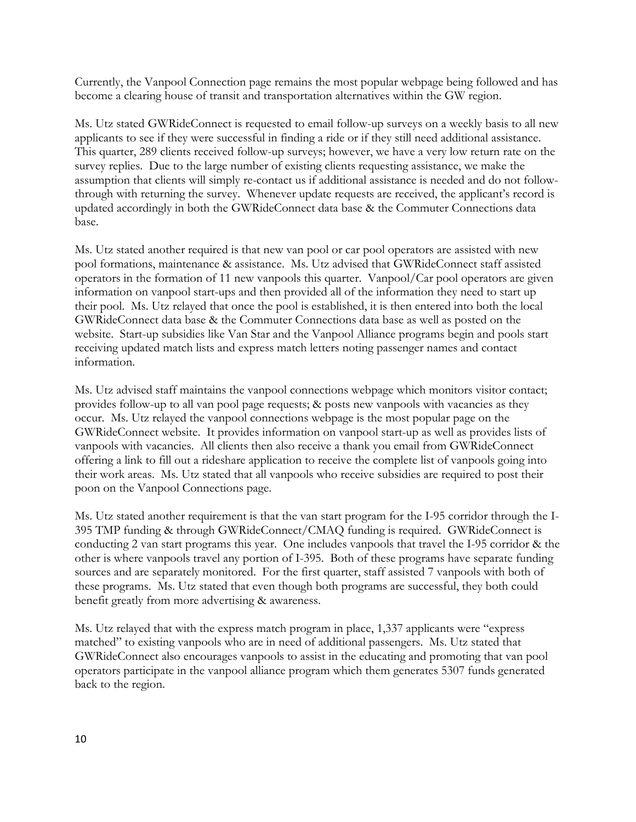Currently, the Vanpool Connection page remains the most popular webpage being followed and has become a clearing house of transit and transportation alternatives within the GW region.

Ms. Utz stated GWRideConnect is requested to email follow-up surveys on a weekly basis to all new applicants to see if they were successful in finding a ride or if they still need additional assistance. This quarter, 289 clients received follow-up surveys; however, we have a very low return rate on the survey replies. Due to the large number of existing clients requesting assistance, we make the assumption that clients will simply re-contact us if additional assistance is needed and do not followthrough with returning the survey. Whenever update requests are received, the applicant's record is updated accordingly in both the GWRideConnect data base & the Commuter Connections data base.

Ms. Utz stated another required is that new van pool or car pool operators are assisted with new pool formations, maintenance & assistance. Ms. Utz advised that GWRideConnect staff assisted operators in the formation of 11 new vanpools this quarter. Vanpool/Car pool operators are given information on vanpool start-ups and then provided all of the information they need to start up their pool. Ms. Utz relayed that once the pool is established, it is then entered into both the local GWRideConnect data base & the Commuter Connections data base as well as posted on the website. Start-up subsidies like Van Star and the Vanpool Alliance programs begin and pools start receiving updated match lists and express match letters noting passenger names and contact information.

Ms. Utz advised staff maintains the vanpool connections webpage which monitors visitor contact; provides follow-up to all van pool page requests; & posts new vanpools with vacancies as they occur. Ms. Utz relayed the vanpool connections webpage is the most popular page on the GWRideConnect website. It provides information on vanpool start-up as well as provides lists of vanpools with vacancies. All clients then also receive a thank you email from GWRideConnect offering a link to fill out a rideshare application to receive the complete list of vanpools going into their work areas. Ms. Utz stated that all vanpools who receive subsidies are required to post their poon on the Vanpool Connections page.

Ms. Utz stated another requirement is that the van start program for the I-95 corridor through the I-395 TMP funding & through GWRideConnect/CMAQ funding is required. GWRideConnect is conducting 2 van start programs this year. One includes vanpools that travel the I-95 corridor & the other is where vanpools travel any portion of I-395. Both of these programs have separate funding sources and are separately monitored. For the first quarter, staff assisted 7 vanpools with both of these programs. Ms. Utz stated that even though both programs are successful, they both could benefit greatly from more advertising & awareness.

Ms. Utz relayed that with the express match program in place, 1,337 applicants were "express matched" to existing vanpools who are in need of additional passengers. Ms. Utz stated that GWRideConnect also encourages vanpools to assist in the educating and promoting that van pool operators participate in the vanpool alliance program which them generates 5307 funds generated back to the region.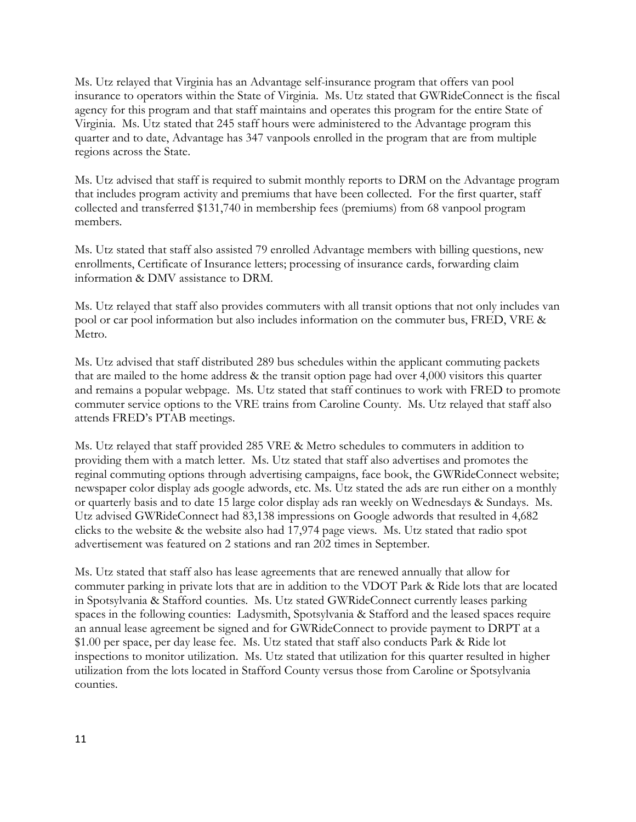Ms. Utz relayed that Virginia has an Advantage self-insurance program that offers van pool insurance to operators within the State of Virginia. Ms. Utz stated that GWRideConnect is the fiscal agency for this program and that staff maintains and operates this program for the entire State of Virginia. Ms. Utz stated that 245 staff hours were administered to the Advantage program this quarter and to date, Advantage has 347 vanpools enrolled in the program that are from multiple regions across the State.

Ms. Utz advised that staff is required to submit monthly reports to DRM on the Advantage program that includes program activity and premiums that have been collected. For the first quarter, staff collected and transferred \$131,740 in membership fees (premiums) from 68 vanpool program members.

Ms. Utz stated that staff also assisted 79 enrolled Advantage members with billing questions, new enrollments, Certificate of Insurance letters; processing of insurance cards, forwarding claim information & DMV assistance to DRM.

Ms. Utz relayed that staff also provides commuters with all transit options that not only includes van pool or car pool information but also includes information on the commuter bus, FRED, VRE & Metro.

Ms. Utz advised that staff distributed 289 bus schedules within the applicant commuting packets that are mailed to the home address & the transit option page had over 4,000 visitors this quarter and remains a popular webpage. Ms. Utz stated that staff continues to work with FRED to promote commuter service options to the VRE trains from Caroline County. Ms. Utz relayed that staff also attends FRED's PTAB meetings.

Ms. Utz relayed that staff provided 285 VRE & Metro schedules to commuters in addition to providing them with a match letter. Ms. Utz stated that staff also advertises and promotes the reginal commuting options through advertising campaigns, face book, the GWRideConnect website; newspaper color display ads google adwords, etc. Ms. Utz stated the ads are run either on a monthly or quarterly basis and to date 15 large color display ads ran weekly on Wednesdays & Sundays. Ms. Utz advised GWRideConnect had 83,138 impressions on Google adwords that resulted in 4,682 clicks to the website & the website also had 17,974 page views. Ms. Utz stated that radio spot advertisement was featured on 2 stations and ran 202 times in September.

Ms. Utz stated that staff also has lease agreements that are renewed annually that allow for commuter parking in private lots that are in addition to the VDOT Park & Ride lots that are located in Spotsylvania & Stafford counties. Ms. Utz stated GWRideConnect currently leases parking spaces in the following counties: Ladysmith, Spotsylvania & Stafford and the leased spaces require an annual lease agreement be signed and for GWRideConnect to provide payment to DRPT at a \$1.00 per space, per day lease fee. Ms. Utz stated that staff also conducts Park & Ride lot inspections to monitor utilization. Ms. Utz stated that utilization for this quarter resulted in higher utilization from the lots located in Stafford County versus those from Caroline or Spotsylvania counties.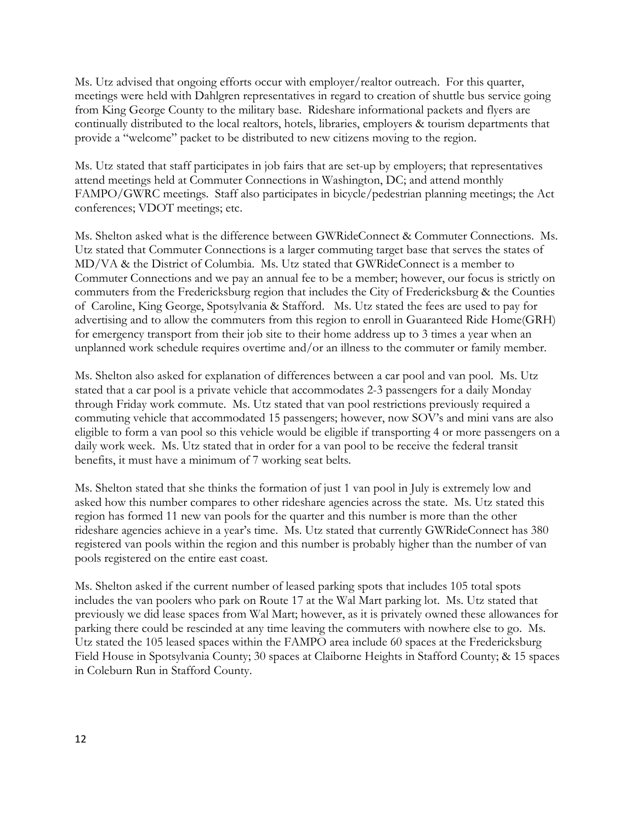Ms. Utz advised that ongoing efforts occur with employer/realtor outreach. For this quarter, meetings were held with Dahlgren representatives in regard to creation of shuttle bus service going from King George County to the military base. Rideshare informational packets and flyers are continually distributed to the local realtors, hotels, libraries, employers & tourism departments that provide a "welcome" packet to be distributed to new citizens moving to the region.

Ms. Utz stated that staff participates in job fairs that are set-up by employers; that representatives attend meetings held at Commuter Connections in Washington, DC; and attend monthly FAMPO/GWRC meetings. Staff also participates in bicycle/pedestrian planning meetings; the Act conferences; VDOT meetings; etc.

Ms. Shelton asked what is the difference between GWRideConnect & Commuter Connections. Ms. Utz stated that Commuter Connections is a larger commuting target base that serves the states of MD/VA & the District of Columbia. Ms. Utz stated that GWRideConnect is a member to Commuter Connections and we pay an annual fee to be a member; however, our focus is strictly on commuters from the Fredericksburg region that includes the City of Fredericksburg & the Counties of Caroline, King George, Spotsylvania & Stafford. Ms. Utz stated the fees are used to pay for advertising and to allow the commuters from this region to enroll in Guaranteed Ride Home(GRH) for emergency transport from their job site to their home address up to 3 times a year when an unplanned work schedule requires overtime and/or an illness to the commuter or family member.

Ms. Shelton also asked for explanation of differences between a car pool and van pool. Ms. Utz stated that a car pool is a private vehicle that accommodates 2-3 passengers for a daily Monday through Friday work commute. Ms. Utz stated that van pool restrictions previously required a commuting vehicle that accommodated 15 passengers; however, now SOV's and mini vans are also eligible to form a van pool so this vehicle would be eligible if transporting 4 or more passengers on a daily work week. Ms. Utz stated that in order for a van pool to be receive the federal transit benefits, it must have a minimum of 7 working seat belts.

Ms. Shelton stated that she thinks the formation of just 1 van pool in July is extremely low and asked how this number compares to other rideshare agencies across the state. Ms. Utz stated this region has formed 11 new van pools for the quarter and this number is more than the other rideshare agencies achieve in a year's time. Ms. Utz stated that currently GWRideConnect has 380 registered van pools within the region and this number is probably higher than the number of van pools registered on the entire east coast.

Ms. Shelton asked if the current number of leased parking spots that includes 105 total spots includes the van poolers who park on Route 17 at the Wal Mart parking lot. Ms. Utz stated that previously we did lease spaces from Wal Mart; however, as it is privately owned these allowances for parking there could be rescinded at any time leaving the commuters with nowhere else to go. Ms. Utz stated the 105 leased spaces within the FAMPO area include 60 spaces at the Fredericksburg Field House in Spotsylvania County; 30 spaces at Claiborne Heights in Stafford County; & 15 spaces in Coleburn Run in Stafford County.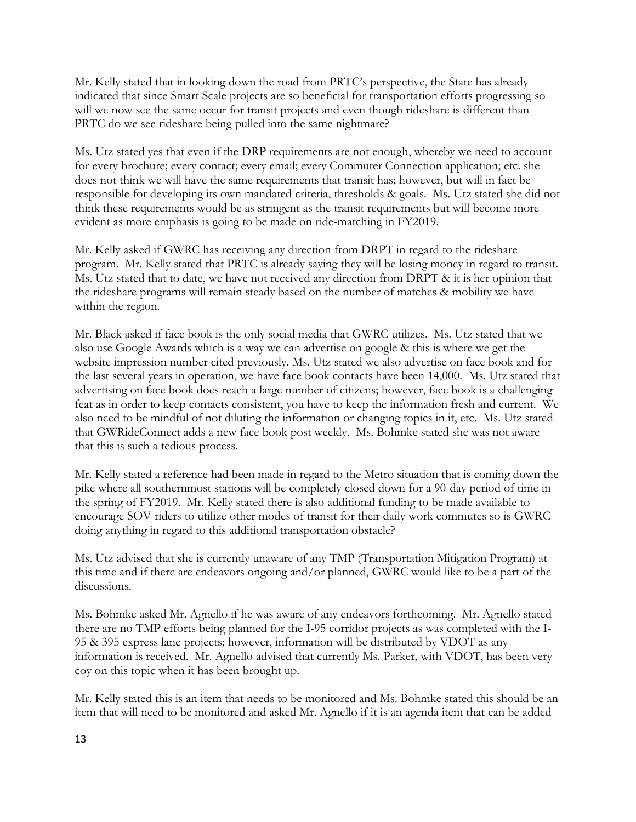Mr. Kelly stated that in looking down the road from PRTC's perspective, the State has already indicated that since Smart Scale projects are so beneficial for transportation efforts progressing so will we now see the same occur for transit projects and even though rideshare is different than PRTC do we see rideshare being pulled into the same nightmare?

Ms. Utz stated yes that even if the DRP requirements are not enough, whereby we need to account for every brochure; every contact; every email; every Commuter Connection application; etc. she does not think we will have the same requirements that transit has; however, but will in fact be responsible for developing its own mandated criteria, thresholds & goals. Ms. Utz stated she did not think these requirements would be as stringent as the transit requirements but will become more evident as more emphasis is going to be made on ride-matching in FY2019.

Mr. Kelly asked if GWRC has receiving any direction from DRPT in regard to the rideshare program. Mr. Kelly stated that PRTC is already saying they will be losing money in regard to transit. Ms. Utz stated that to date, we have not received any direction from DRPT & it is her opinion that the rideshare programs will remain steady based on the number of matches & mobility we have within the region.

Mr. Black asked if face book is the only social media that GWRC utilizes. Ms. Utz stated that we also use Google Awards which is a way we can advertise on google & this is where we get the website impression number cited previously. Ms. Utz stated we also advertise on face book and for the last several years in operation, we have face book contacts have been 14,000. Ms. Utz stated that advertising on face book does reach a large number of citizens; however, face book is a challenging feat as in order to keep contacts consistent, you have to keep the information fresh and current. We also need to be mindful of not diluting the information or changing topics in it, etc. Ms. Utz stated that GWRideConnect adds a new face book post weekly. Ms. Bohmke stated she was not aware that this is such a tedious process.

Mr. Kelly stated a reference had been made in regard to the Metro situation that is coming down the pike where all southernmost stations will be completely closed down for a 90-day period of time in the spring of FY2019. Mr. Kelly stated there is also additional funding to be made available to encourage SOV riders to utilize other modes of transit for their daily work commutes so is GWRC doing anything in regard to this additional transportation obstacle?

Ms. Utz advised that she is currently unaware of any TMP (Transportation Mitigation Program) at this time and if there are endeavors ongoing and/or planned, GWRC would like to be a part of the discussions.

Ms. Bohmke asked Mr. Agnello if he was aware of any endeavors forthcoming. Mr. Agnello stated there are no TMP efforts being planned for the I-95 corridor projects as was completed with the I-95 & 395 express lane projects; however, information will be distributed by VDOT as any information is received. Mr. Agnello advised that currently Ms. Parker, with VDOT, has been very coy on this topic when it has been brought up.

Mr. Kelly stated this is an item that needs to be monitored and Ms. Bohmke stated this should be an item that will need to be monitored and asked Mr. Agnello if it is an agenda item that can be added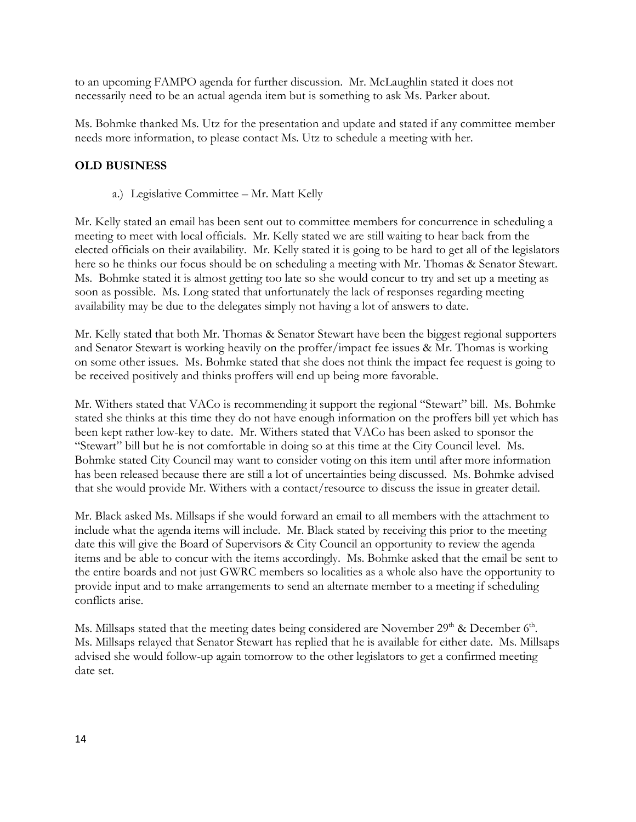to an upcoming FAMPO agenda for further discussion. Mr. McLaughlin stated it does not necessarily need to be an actual agenda item but is something to ask Ms. Parker about.

Ms. Bohmke thanked Ms. Utz for the presentation and update and stated if any committee member needs more information, to please contact Ms. Utz to schedule a meeting with her.

# **OLD BUSINESS**

a.) Legislative Committee – Mr. Matt Kelly

Mr. Kelly stated an email has been sent out to committee members for concurrence in scheduling a meeting to meet with local officials. Mr. Kelly stated we are still waiting to hear back from the elected officials on their availability. Mr. Kelly stated it is going to be hard to get all of the legislators here so he thinks our focus should be on scheduling a meeting with Mr. Thomas & Senator Stewart. Ms. Bohmke stated it is almost getting too late so she would concur to try and set up a meeting as soon as possible. Ms. Long stated that unfortunately the lack of responses regarding meeting availability may be due to the delegates simply not having a lot of answers to date.

Mr. Kelly stated that both Mr. Thomas & Senator Stewart have been the biggest regional supporters and Senator Stewart is working heavily on the proffer/impact fee issues & Mr. Thomas is working on some other issues. Ms. Bohmke stated that she does not think the impact fee request is going to be received positively and thinks proffers will end up being more favorable.

Mr. Withers stated that VACo is recommending it support the regional "Stewart" bill. Ms. Bohmke stated she thinks at this time they do not have enough information on the proffers bill yet which has been kept rather low-key to date. Mr. Withers stated that VACo has been asked to sponsor the "Stewart" bill but he is not comfortable in doing so at this time at the City Council level. Ms. Bohmke stated City Council may want to consider voting on this item until after more information has been released because there are still a lot of uncertainties being discussed. Ms. Bohmke advised that she would provide Mr. Withers with a contact/resource to discuss the issue in greater detail.

Mr. Black asked Ms. Millsaps if she would forward an email to all members with the attachment to include what the agenda items will include. Mr. Black stated by receiving this prior to the meeting date this will give the Board of Supervisors & City Council an opportunity to review the agenda items and be able to concur with the items accordingly. Ms. Bohmke asked that the email be sent to the entire boards and not just GWRC members so localities as a whole also have the opportunity to provide input and to make arrangements to send an alternate member to a meeting if scheduling conflicts arise.

Ms. Millsaps stated that the meeting dates being considered are November  $29<sup>th</sup>$  & December  $6<sup>th</sup>$ . Ms. Millsaps relayed that Senator Stewart has replied that he is available for either date. Ms. Millsaps advised she would follow-up again tomorrow to the other legislators to get a confirmed meeting date set.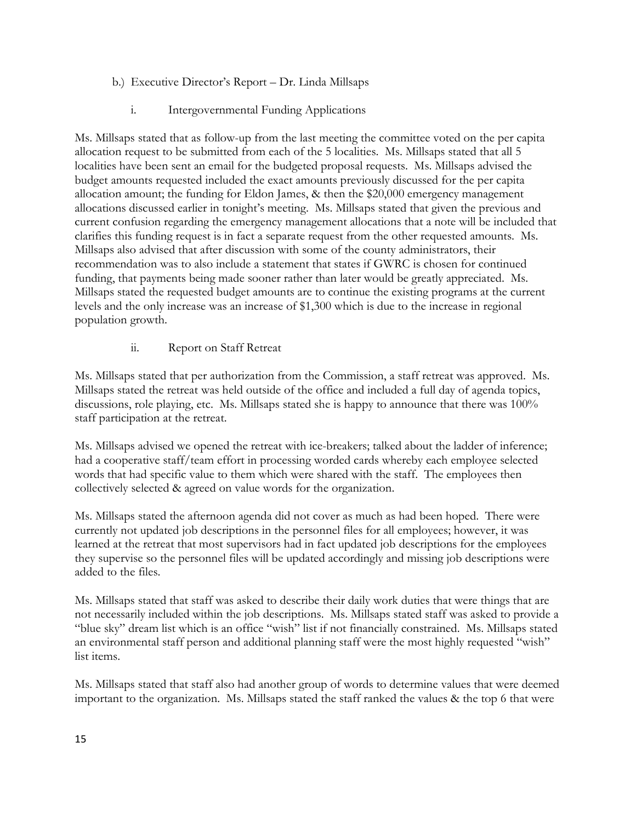- b.) Executive Director's Report Dr. Linda Millsaps
	- i. Intergovernmental Funding Applications

Ms. Millsaps stated that as follow-up from the last meeting the committee voted on the per capita allocation request to be submitted from each of the 5 localities. Ms. Millsaps stated that all 5 localities have been sent an email for the budgeted proposal requests. Ms. Millsaps advised the budget amounts requested included the exact amounts previously discussed for the per capita allocation amount; the funding for Eldon James, & then the \$20,000 emergency management allocations discussed earlier in tonight's meeting. Ms. Millsaps stated that given the previous and current confusion regarding the emergency management allocations that a note will be included that clarifies this funding request is in fact a separate request from the other requested amounts. Ms. Millsaps also advised that after discussion with some of the county administrators, their recommendation was to also include a statement that states if GWRC is chosen for continued funding, that payments being made sooner rather than later would be greatly appreciated. Ms. Millsaps stated the requested budget amounts are to continue the existing programs at the current levels and the only increase was an increase of \$1,300 which is due to the increase in regional population growth.

ii. Report on Staff Retreat

Ms. Millsaps stated that per authorization from the Commission, a staff retreat was approved. Ms. Millsaps stated the retreat was held outside of the office and included a full day of agenda topics, discussions, role playing, etc. Ms. Millsaps stated she is happy to announce that there was 100% staff participation at the retreat.

Ms. Millsaps advised we opened the retreat with ice-breakers; talked about the ladder of inference; had a cooperative staff/team effort in processing worded cards whereby each employee selected words that had specific value to them which were shared with the staff. The employees then collectively selected & agreed on value words for the organization.

Ms. Millsaps stated the afternoon agenda did not cover as much as had been hoped. There were currently not updated job descriptions in the personnel files for all employees; however, it was learned at the retreat that most supervisors had in fact updated job descriptions for the employees they supervise so the personnel files will be updated accordingly and missing job descriptions were added to the files.

Ms. Millsaps stated that staff was asked to describe their daily work duties that were things that are not necessarily included within the job descriptions. Ms. Millsaps stated staff was asked to provide a "blue sky" dream list which is an office "wish" list if not financially constrained. Ms. Millsaps stated an environmental staff person and additional planning staff were the most highly requested "wish" list items.

Ms. Millsaps stated that staff also had another group of words to determine values that were deemed important to the organization. Ms. Millsaps stated the staff ranked the values & the top 6 that were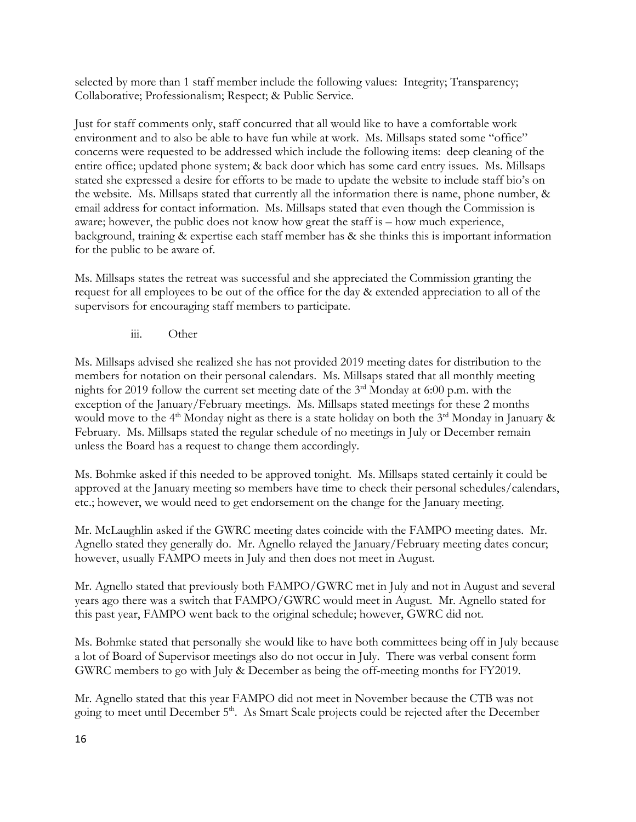selected by more than 1 staff member include the following values: Integrity; Transparency; Collaborative; Professionalism; Respect; & Public Service.

Just for staff comments only, staff concurred that all would like to have a comfortable work environment and to also be able to have fun while at work. Ms. Millsaps stated some "office" concerns were requested to be addressed which include the following items: deep cleaning of the entire office; updated phone system; & back door which has some card entry issues. Ms. Millsaps stated she expressed a desire for efforts to be made to update the website to include staff bio's on the website. Ms. Millsaps stated that currently all the information there is name, phone number, & email address for contact information. Ms. Millsaps stated that even though the Commission is aware; however, the public does not know how great the staff is – how much experience, background, training & expertise each staff member has & she thinks this is important information for the public to be aware of.

Ms. Millsaps states the retreat was successful and she appreciated the Commission granting the request for all employees to be out of the office for the day & extended appreciation to all of the supervisors for encouraging staff members to participate.

iii. Other

Ms. Millsaps advised she realized she has not provided 2019 meeting dates for distribution to the members for notation on their personal calendars. Ms. Millsaps stated that all monthly meeting nights for 2019 follow the current set meeting date of the  $3<sup>rd</sup>$  Monday at 6:00 p.m. with the exception of the January/February meetings. Ms. Millsaps stated meetings for these 2 months would move to the 4<sup>th</sup> Monday night as there is a state holiday on both the  $3<sup>rd</sup>$  Monday in January  $\&$ February. Ms. Millsaps stated the regular schedule of no meetings in July or December remain unless the Board has a request to change them accordingly.

Ms. Bohmke asked if this needed to be approved tonight. Ms. Millsaps stated certainly it could be approved at the January meeting so members have time to check their personal schedules/calendars, etc.; however, we would need to get endorsement on the change for the January meeting.

Mr. McLaughlin asked if the GWRC meeting dates coincide with the FAMPO meeting dates. Mr. Agnello stated they generally do. Mr. Agnello relayed the January/February meeting dates concur; however, usually FAMPO meets in July and then does not meet in August.

Mr. Agnello stated that previously both FAMPO/GWRC met in July and not in August and several years ago there was a switch that FAMPO/GWRC would meet in August. Mr. Agnello stated for this past year, FAMPO went back to the original schedule; however, GWRC did not.

Ms. Bohmke stated that personally she would like to have both committees being off in July because a lot of Board of Supervisor meetings also do not occur in July. There was verbal consent form GWRC members to go with July & December as being the off-meeting months for FY2019.

Mr. Agnello stated that this year FAMPO did not meet in November because the CTB was not going to meet until December 5<sup>th</sup>. As Smart Scale projects could be rejected after the December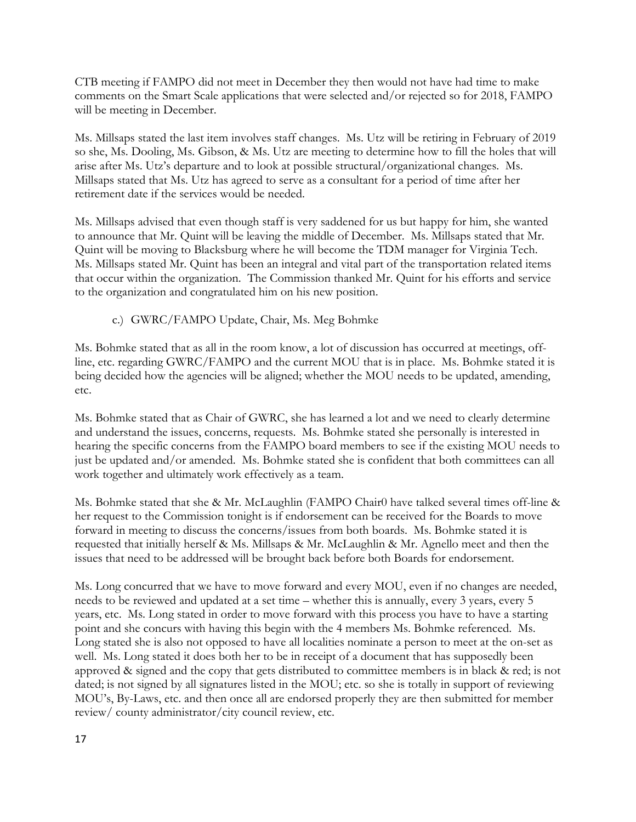CTB meeting if FAMPO did not meet in December they then would not have had time to make comments on the Smart Scale applications that were selected and/or rejected so for 2018, FAMPO will be meeting in December.

Ms. Millsaps stated the last item involves staff changes. Ms. Utz will be retiring in February of 2019 so she, Ms. Dooling, Ms. Gibson, & Ms. Utz are meeting to determine how to fill the holes that will arise after Ms. Utz's departure and to look at possible structural/organizational changes. Ms. Millsaps stated that Ms. Utz has agreed to serve as a consultant for a period of time after her retirement date if the services would be needed.

Ms. Millsaps advised that even though staff is very saddened for us but happy for him, she wanted to announce that Mr. Quint will be leaving the middle of December. Ms. Millsaps stated that Mr. Quint will be moving to Blacksburg where he will become the TDM manager for Virginia Tech. Ms. Millsaps stated Mr. Quint has been an integral and vital part of the transportation related items that occur within the organization. The Commission thanked Mr. Quint for his efforts and service to the organization and congratulated him on his new position.

c.) GWRC/FAMPO Update, Chair, Ms. Meg Bohmke

Ms. Bohmke stated that as all in the room know, a lot of discussion has occurred at meetings, offline, etc. regarding GWRC/FAMPO and the current MOU that is in place. Ms. Bohmke stated it is being decided how the agencies will be aligned; whether the MOU needs to be updated, amending, etc.

Ms. Bohmke stated that as Chair of GWRC, she has learned a lot and we need to clearly determine and understand the issues, concerns, requests. Ms. Bohmke stated she personally is interested in hearing the specific concerns from the FAMPO board members to see if the existing MOU needs to just be updated and/or amended. Ms. Bohmke stated she is confident that both committees can all work together and ultimately work effectively as a team.

Ms. Bohmke stated that she & Mr. McLaughlin (FAMPO Chair0 have talked several times off-line & her request to the Commission tonight is if endorsement can be received for the Boards to move forward in meeting to discuss the concerns/issues from both boards. Ms. Bohmke stated it is requested that initially herself & Ms. Millsaps & Mr. McLaughlin & Mr. Agnello meet and then the issues that need to be addressed will be brought back before both Boards for endorsement.

Ms. Long concurred that we have to move forward and every MOU, even if no changes are needed, needs to be reviewed and updated at a set time – whether this is annually, every 3 years, every 5 years, etc. Ms. Long stated in order to move forward with this process you have to have a starting point and she concurs with having this begin with the 4 members Ms. Bohmke referenced. Ms. Long stated she is also not opposed to have all localities nominate a person to meet at the on-set as well. Ms. Long stated it does both her to be in receipt of a document that has supposedly been approved & signed and the copy that gets distributed to committee members is in black & red; is not dated; is not signed by all signatures listed in the MOU; etc. so she is totally in support of reviewing MOU's, By-Laws, etc. and then once all are endorsed properly they are then submitted for member review/ county administrator/city council review, etc.